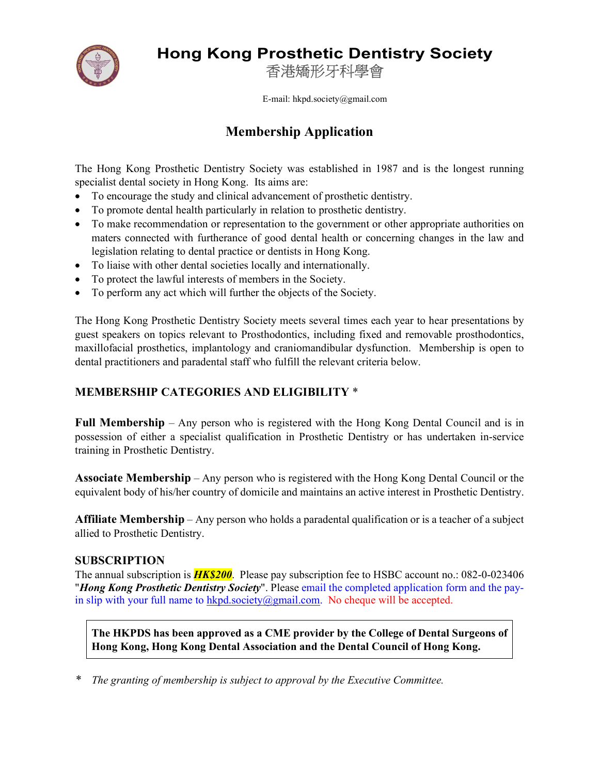

# Hong Kong Prosthetic Dentistry Society

香港矯形牙科學會

E-mail: hkpd.society@gmail.com

## Membership Application

The Hong Kong Prosthetic Dentistry Society was established in 1987 and is the longest running specialist dental society in Hong Kong. Its aims are:

- To encourage the study and clinical advancement of prosthetic dentistry.
- To promote dental health particularly in relation to prosthetic dentistry.
- To make recommendation or representation to the government or other appropriate authorities on maters connected with furtherance of good dental health or concerning changes in the law and legislation relating to dental practice or dentists in Hong Kong.
- To liaise with other dental societies locally and internationally.
- To protect the lawful interests of members in the Society.
- To perform any act which will further the objects of the Society.

The Hong Kong Prosthetic Dentistry Society meets several times each year to hear presentations by guest speakers on topics relevant to Prosthodontics, including fixed and removable prosthodontics, maxillofacial prosthetics, implantology and craniomandibular dysfunction. Membership is open to dental practitioners and paradental staff who fulfill the relevant criteria below.

### MEMBERSHIP CATEGORIES AND ELIGIBILITY \*

Full Membership – Any person who is registered with the Hong Kong Dental Council and is in possession of either a specialist qualification in Prosthetic Dentistry or has undertaken in-service training in Prosthetic Dentistry.

Associate Membership – Any person who is registered with the Hong Kong Dental Council or the equivalent body of his/her country of domicile and maintains an active interest in Prosthetic Dentistry.

Affiliate Membership – Any person who holds a paradental qualification or is a teacher of a subject allied to Prosthetic Dentistry.

#### SUBSCRIPTION

The annual subscription is  $HK$200$ . Please pay subscription fee to HSBC account no.: 082-0-023406 "*Hong Kong Prosthetic Dentistry Society*". Please email the completed application form and the payin slip with your full name to  $hkpd.society@gmail.com$ . No cheque will be accepted.

The HKPDS has been approved as a CME provider by the College of Dental Surgeons of Hong Kong, Hong Kong Dental Association and the Dental Council of Hong Kong.

The granting of membership is subject to approval by the Executive Committee.